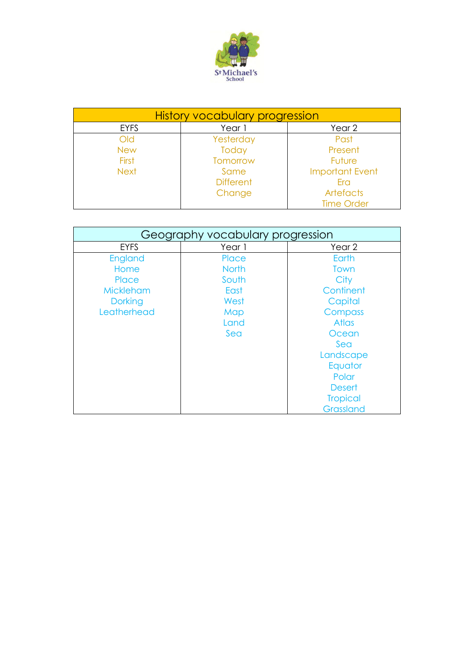

| <b>History vocabulary progression</b> |                  |                        |
|---------------------------------------|------------------|------------------------|
| <b>EYFS</b>                           | Year 1           | Year 2                 |
| Old                                   | Yesterday        | Past                   |
| <b>New</b>                            | Today            | Present                |
| <b>First</b>                          | Tomorrow         | Future                 |
| <b>Next</b>                           | Same             | <b>Important Event</b> |
|                                       | <b>Different</b> | Fra                    |
|                                       | Change           | Artefacts              |
|                                       |                  | <b>Time Order</b>      |

| Geography vocabulary progression |              |                 |
|----------------------------------|--------------|-----------------|
| <b>EYFS</b>                      | Year 1       | Year 2          |
| England                          | Place        | Earth           |
| Home                             | <b>North</b> | Town            |
| Place                            | South        | City            |
| <b>Mickleham</b>                 | East         | Continent       |
| <b>Dorking</b>                   | West         | Capital         |
| Leatherhead                      | Map          | Compass         |
|                                  | Land         | <b>Atlas</b>    |
|                                  | Sea          | Ocean           |
|                                  |              | Sea             |
|                                  |              | Landscape       |
|                                  |              | Equator         |
|                                  |              | Polar           |
|                                  |              | <b>Desert</b>   |
|                                  |              | <b>Tropical</b> |
|                                  |              | Grassland       |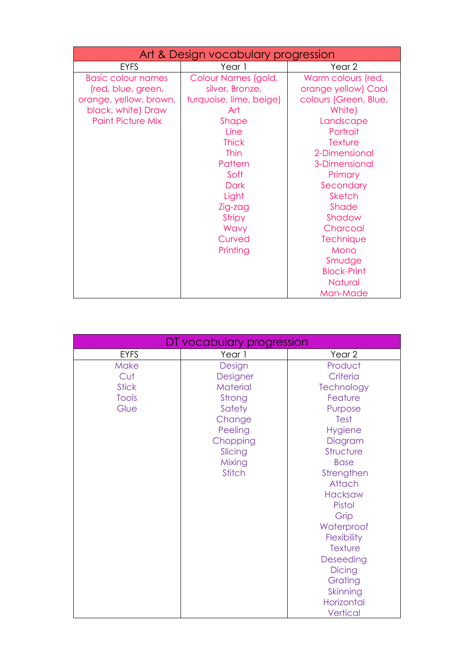| Art & Design vocabulary progression                                                                                         |                                                                                                                                                                                                                               |                                                                                                                                                                                                                                                           |
|-----------------------------------------------------------------------------------------------------------------------------|-------------------------------------------------------------------------------------------------------------------------------------------------------------------------------------------------------------------------------|-----------------------------------------------------------------------------------------------------------------------------------------------------------------------------------------------------------------------------------------------------------|
| <b>EYFS</b>                                                                                                                 | Year 1                                                                                                                                                                                                                        | Year <sub>2</sub>                                                                                                                                                                                                                                         |
| <b>Basic colour names</b><br>(red, blue, green,<br>orange, yellow, brown,<br>black, white) Draw<br><b>Paint Picture Mix</b> | Colour Names (gold,<br>silver, Bronze,<br>turquoise, lime, beige)<br>Art<br>Shape<br>Line<br><b>Thick</b><br><b>Thin</b><br>Pattern<br>Soft<br><b>Dark</b><br>Light<br>Zig-zag<br><b>Stripy</b><br>Wavy<br>Curved<br>Printing | Warm colours (red,<br>orange yellow) Cool<br>colours (Green, Blue,<br>White)<br>Landscape<br>Portrait<br><b>Texture</b><br>2-Dimensional<br>3-Dimensional<br>Primary<br>Secondary<br>Sketch<br>Shade<br>Shadow<br>Charcoal<br>Technique<br>Mono<br>Smudge |
|                                                                                                                             |                                                                                                                                                                                                                               | <b>Block-Print</b><br><b>Natural</b><br>Man-Made                                                                                                                                                                                                          |

| DT vocabulary progression |               |                |
|---------------------------|---------------|----------------|
| <b>EYFS</b>               | Year 1        | Year 2         |
| <b>Make</b>               | Design        | Product        |
| Cut                       | Designer      | Criteria       |
| <b>Stick</b>              | Material      | Technology     |
| Tools                     | Strong        | Feature        |
| Glue                      | Safety        | Purpose        |
|                           | Change        | <b>Test</b>    |
|                           | Peeling       | <b>Hygiene</b> |
|                           | Chopping      | Diagram        |
|                           | Slicing       | Structure      |
|                           | Mixing        | <b>Base</b>    |
|                           | <b>Stitch</b> | Strengthen     |
|                           |               | Attach         |
|                           |               | Hacksaw        |
|                           |               | Pistol         |
|                           |               | Grip           |
|                           |               | Waterproof     |
|                           |               | Flexibility    |
|                           |               | Texture        |
|                           |               | Deseeding      |
|                           |               | <b>Dicing</b>  |
|                           |               | Grating        |
|                           |               | Skinning       |
|                           |               | Horizontal     |
|                           |               | Vertical       |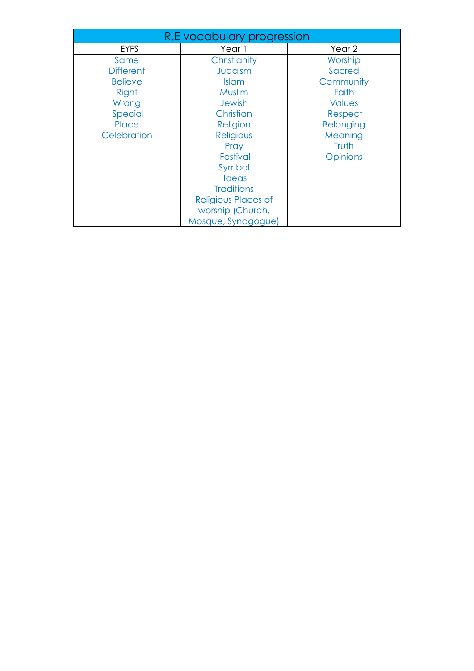| R.E vocabulary progression |                     |                  |
|----------------------------|---------------------|------------------|
| <b>EYFS</b>                | Year 1              | Year 2           |
| Same                       | Christianity        | Worship          |
| <b>Different</b>           | Judaism             | Sacred           |
| <b>Believe</b>             | <b>Islam</b>        | Community        |
| Right                      | Muslim              | Faith            |
| Wrong                      | <b>Jewish</b>       | <b>Values</b>    |
| Special                    | Christian           | Respect          |
| Place                      | Religion            | <b>Belonging</b> |
| Celebration                | Religious           | Meaning          |
|                            | Pray                | Truth            |
|                            | Festival            | <b>Opinions</b>  |
|                            | Symbol              |                  |
|                            | <b>Ideas</b>        |                  |
|                            | <b>Traditions</b>   |                  |
|                            | Religious Places of |                  |
|                            | worship (Church,    |                  |
|                            | Mosque, Synagogue)  |                  |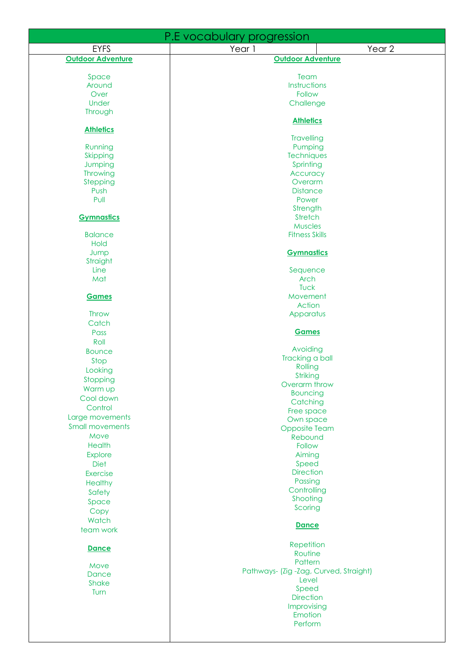| P.E vocabulary progression |                                        |  |  |
|----------------------------|----------------------------------------|--|--|
| <b>EYFS</b>                | Year 2<br>Year 1                       |  |  |
| <b>Outdoor Adventure</b>   | <b>Outdoor Adventure</b>               |  |  |
|                            |                                        |  |  |
| Space                      | Team                                   |  |  |
| Around<br>Over             | Instructions<br>Follow                 |  |  |
| Under                      | Challenge                              |  |  |
| Through                    |                                        |  |  |
|                            | <b>Athletics</b>                       |  |  |
| <b>Athletics</b>           |                                        |  |  |
|                            | <b>Travelling</b>                      |  |  |
| Running<br>Skipping        | Pumping<br>Techniques                  |  |  |
| Jumping                    | Sprinting                              |  |  |
| Throwing                   | Accuracy                               |  |  |
| Stepping                   | Overarm                                |  |  |
| Push                       | <b>Distance</b>                        |  |  |
| Pull                       | Power                                  |  |  |
|                            | Strength                               |  |  |
| <b>Gymnastics</b>          | Stretch                                |  |  |
|                            | <b>Muscles</b>                         |  |  |
| <b>Balance</b><br>Hold     | <b>Fitness Skills</b>                  |  |  |
| Jump                       | <b>Gymnastics</b>                      |  |  |
| Straight                   |                                        |  |  |
| Line                       | Sequence                               |  |  |
| Mat                        | <b>Arch</b>                            |  |  |
|                            | Tuck                                   |  |  |
| <b>Games</b>               | Movement                               |  |  |
|                            | Action                                 |  |  |
| Throw                      | Apparatus                              |  |  |
| Catch                      | <b>Games</b>                           |  |  |
| Pass<br>Roll               |                                        |  |  |
| <b>Bounce</b>              | Avoiding                               |  |  |
| Stop                       | Tracking a ball                        |  |  |
| Looking                    | Rolling                                |  |  |
| Stopping                   | Striking                               |  |  |
| Warm up                    | Overarm throw                          |  |  |
| Cool down                  | <b>Bouncing</b>                        |  |  |
| Control                    | Catching                               |  |  |
| Large movements            | Free space<br>Own space                |  |  |
| <b>Small movements</b>     | <b>Opposite Team</b>                   |  |  |
| Move                       | Rebound                                |  |  |
| <b>Health</b>              | Follow                                 |  |  |
| Explore                    | Aiming                                 |  |  |
| Diet                       | Speed                                  |  |  |
| <b>Exercise</b>            | <b>Direction</b>                       |  |  |
| Healthy                    | Passing                                |  |  |
| Safety                     | Controlling                            |  |  |
| Space                      | Shooting                               |  |  |
| Copy                       | Scoring                                |  |  |
| Watch                      | <b>Dance</b>                           |  |  |
| team work                  |                                        |  |  |
| <b>Dance</b>               | Repetition                             |  |  |
|                            | Routine                                |  |  |
| Move                       | Pattern                                |  |  |
| <b>Dance</b>               | Pathways- (Zig -Zag, Curved, Straight) |  |  |
| Shake                      | Level                                  |  |  |
| Turn                       | Speed<br><b>Direction</b>              |  |  |
|                            | Improvising                            |  |  |
|                            | Emotion                                |  |  |
|                            | Perform                                |  |  |
|                            |                                        |  |  |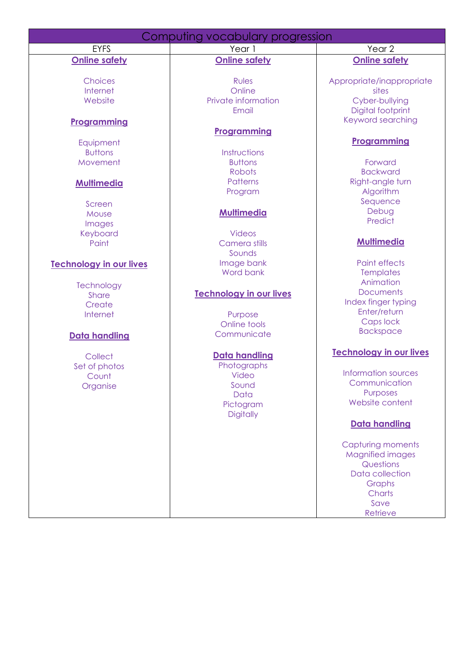| Computing vocabulary progression |                                |                                        |
|----------------------------------|--------------------------------|----------------------------------------|
| <b>EYFS</b>                      | Year 1                         | Year 2                                 |
| <b>Online safety</b>             | <b>Online safety</b>           | <b>Online safety</b>                   |
|                                  |                                |                                        |
| <b>Choices</b>                   | <b>Rules</b>                   | Appropriate/inappropriate              |
| Internet                         | Online                         | sites                                  |
| Website                          | Private information            | Cyber-bullying                         |
|                                  | Email                          | Digital footprint<br>Keyword searching |
| <b>Programming</b>               |                                |                                        |
|                                  | <b>Programming</b>             | Programming                            |
| Equipment<br><b>Buttons</b>      |                                |                                        |
| Movement                         | Instructions<br><b>Buttons</b> | Forward                                |
|                                  | Robots                         | <b>Backward</b>                        |
|                                  | <b>Patterns</b>                | Right-angle turn                       |
| <b>Multimedia</b>                | Program                        | Algorithm                              |
| Screen                           |                                | Sequence                               |
| Mouse                            | <b>Multimedia</b>              | Debug                                  |
| Images                           |                                | Predict                                |
| Keyboard                         | <b>Videos</b>                  |                                        |
| Paint                            | Camera stills                  | <b>Multimedia</b>                      |
|                                  | Sounds                         |                                        |
| <b>Technology in our lives</b>   | Image bank                     | <b>Paint effects</b>                   |
|                                  | Word bank                      | <b>Templates</b>                       |
| Technology                       |                                | Animation                              |
| <b>Share</b>                     | <b>Technology in our lives</b> | <b>Documents</b>                       |
| Create                           |                                | Index finger typing                    |
| Internet                         | Purpose                        | Enter/return                           |
|                                  | Online tools                   | Caps lock                              |
| Data handling                    | Communicate                    | <b>Backspace</b>                       |
|                                  |                                |                                        |
| Collect                          | <b>Data handling</b>           | <b>Technology in our lives</b>         |
| Set of photos                    | Photographs                    |                                        |
| Count                            | Video                          | Information sources                    |
| Organise                         | Sound                          | Communication<br>Purposes              |
|                                  | Data                           | Website content                        |
|                                  | Pictogram                      |                                        |
|                                  | <b>Digitally</b>               | <b>Data handling</b>                   |
|                                  |                                |                                        |
|                                  |                                | <b>Capturing moments</b>               |
|                                  |                                | <b>Magnified images</b>                |
|                                  |                                | Questions                              |
|                                  |                                | Data collection                        |
|                                  |                                | Graphs                                 |
|                                  |                                | Charts                                 |
|                                  |                                | Save                                   |
|                                  |                                | Retrieve                               |